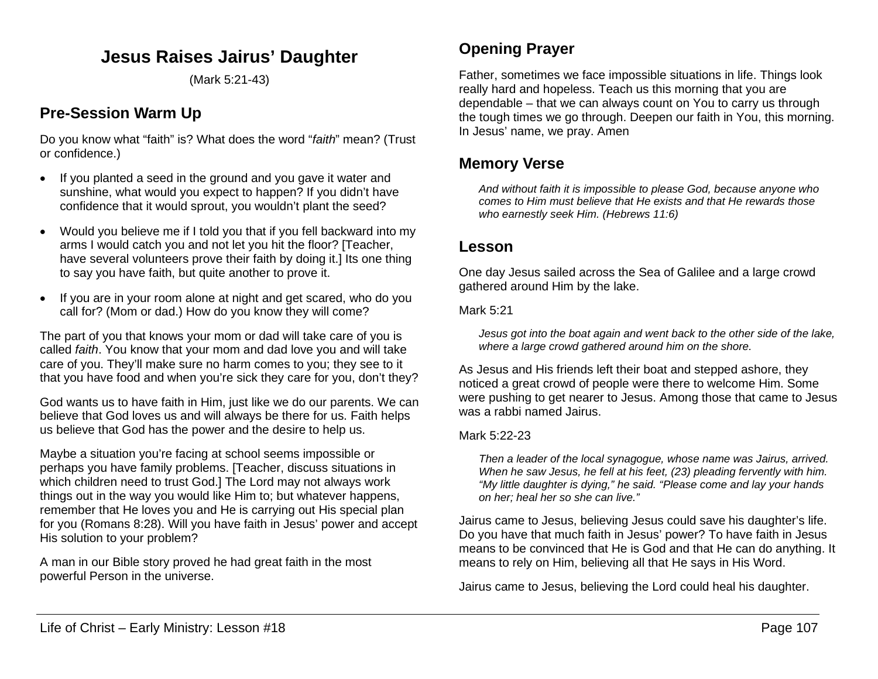# **Jesus Raises Jairus' Daughter**

(Mark 5:21-43)

# **Pre-Session Warm Up**

Do you know what "faith" is? What does the word "*faith*" mean? (Trust or confidence.)

- If you planted a seed in the ground and you gave it water and sunshine, what would you expect to happen? If you didn't have confidence that it would sprout, you wouldn't plant the seed?
- Would you believe me if I told you that if you fell backward into my arms I would catch you and not let you hit the floor? [Teacher, have several volunteers prove their faith by doing it.] Its one thing to say you have faith, but quite another to prove it.
- If you are in your room alone at night and get scared, who do you call for? (Mom or dad.) How do you know they will come?

The part of you that knows your mom or dad will take care of you is called *faith*. You know that your mom and dad love you and will take care of you. They'll make sure no harm comes to you; they see to it that you have food and when you're sick they care for you, don't they?

God wants us to have faith in Him, just like we do our parents. We can believe that God loves us and will always be there for us. Faith helps us believe that God has the power and the desire to help us.

Maybe a situation you're facing at school seems impossible or perhaps you have family problems. [Teacher, discuss situations in which children need to trust God.] The Lord may not always work things out in the way you would like Him to; but whatever happens, remember that He loves you and He is carrying out His special plan for you (Romans 8:28). Will you have faith in Jesus' power and accept His solution to your problem?

A man in our Bible story proved he had great faith in the most powerful Person in the universe.

## **Opening Prayer**

Father, sometimes we face impossible situations in life. Things look really hard and hopeless. Teach us this morning that you are dependable – that we can always count on You to carry us through the tough times we go through. Deepen our faith in You, this morning. In Jesus' name, we pray. Amen

## **Memory Verse**

*And without faith it is impossible to please God, because anyone who comes to Him must believe that He exists and that He rewards those who earnestly seek Him. (Hebrews 11:6)*

## **Lesson**

One day Jesus sailed across the Sea of Galilee and a large crowd gathered around Him by the lake.

### Mark 5:21

*Jesus got into the boat again and went back to the other side of the lake, where a large crowd gathered around him on the shore.*

As Jesus and His friends left their boat and stepped ashore, they noticed a great crowd of people were there to welcome Him. Some were pushing to get nearer to Jesus. Among those that came to Jesus was a rabbi named Jairus.

### Mark 5:22-23

*Then a leader of the local synagogue, whose name was Jairus, arrived. When he saw Jesus, he fell at his feet, (23) pleading fervently with him. "My little daughter is dying," he said. "Please come and lay your hands on her; heal her so she can live."*

Jairus came to Jesus, believing Jesus could save his daughter's life. Do you have that much faith in Jesus' power? To have faith in Jesus means to be convinced that He is God and that He can do anything. It means to rely on Him, believing all that He says in His Word.

Jairus came to Jesus, believing the Lord could heal his daughter.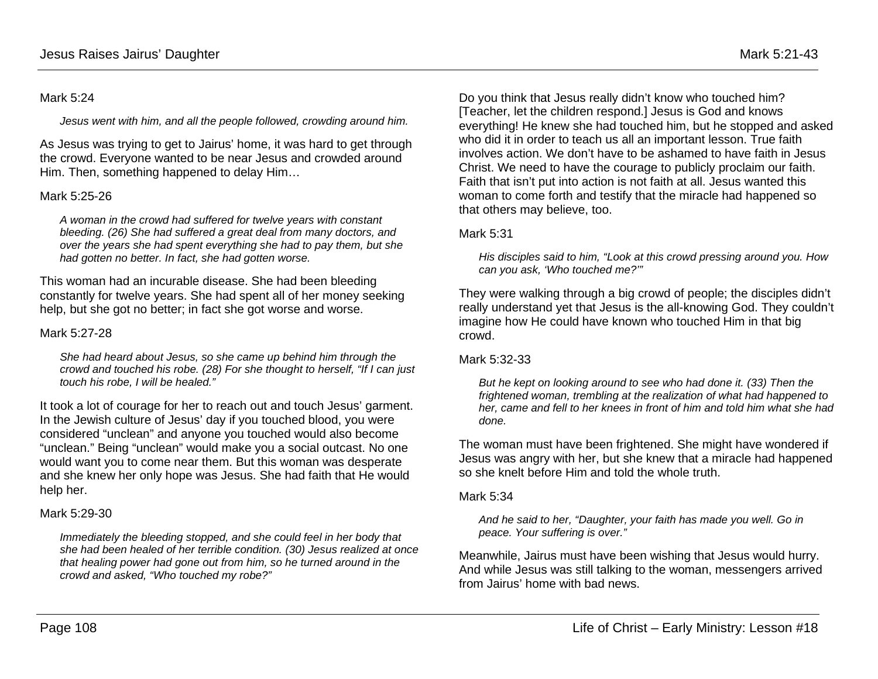#### Mark 5:24

*Jesus went with him, and all the people followed, crowding around him.* 

As Jesus was trying to get to Jairus' home, it was hard to get through the crowd. Everyone wanted to be near Jesus and crowded around Him. Then, something happened to delay Him…

### Mark 5:25-26

*A woman in the crowd had suffered for twelve years with constant bleeding. (26) She had suffered a great deal from many doctors, and over the years she had spent everything she had to pay them, but she had gotten no better. In fact, she had gotten worse.*

This woman had an incurable disease. She had been bleeding constantly for twelve years. She had spent all of her money seeking help, but she got no better; in fact she got worse and worse.

### Mark 5:27-28

*She had heard about Jesus, so she came up behind him through the crowd and touched his robe. (28) For she thought to herself, "If I can just touch his robe, I will be healed."*

It took a lot of courage for her to reach out and touch Jesus' garment. In the Jewish culture of Jesus' day if you touched blood, you were considered "unclean" and anyone you touched would also become "unclean." Being "unclean" would make you a social outcast. No one would want you to come near them. But this woman was desperate and she knew her only hope was Jesus. She had faith that He would help her.

## Mark 5:29-30

*Immediately the bleeding stopped, and she could feel in her body that she had been healed of her terrible condition. (30) Jesus realized at once that healing power had gone out from him, so he turned around in the crowd and asked, "Who touched my robe?"*

Do you think that Jesus really didn't know who touched him? [Teacher, let the children respond.] Jesus is God and knows everything! He knew she had touched him, but he stopped and asked who did it in order to teach us all an important lesson. True faith involves action. We don't have to be ashamed to have faith in Jesus Christ. We need to have the courage to publicly proclaim our faith. Faith that isn't put into action is not faith at all. Jesus wanted this woman to come forth and testify that the miracle had happened so that others may believe, too.

### Mark 5:31

*His disciples said to him, "Look at this crowd pressing around you. How can you ask, 'Who touched me?'"*

They were walking through a big crowd of people; the disciples didn't really understand yet that Jesus is the all-knowing God. They couldn't imagine how He could have known who touched Him in that big crowd.

### Mark 5:32-33

*But he kept on looking around to see who had done it. (33) Then the frightened woman, trembling at the realization of what had happened to her, came and fell to her knees in front of him and told him what she had done.*

The woman must have been frightened. She might have wondered if Jesus was angry with her, but she knew that a miracle had happened so she knelt before Him and told the whole truth.

### Mark 5:34

*And he said to her, "Daughter, your faith has made you well. Go in peace. Your suffering is over."*

Meanwhile, Jairus must have been wishing that Jesus would hurry. And while Jesus was still talking to the woman, messengers arrived from Jairus' home with bad news.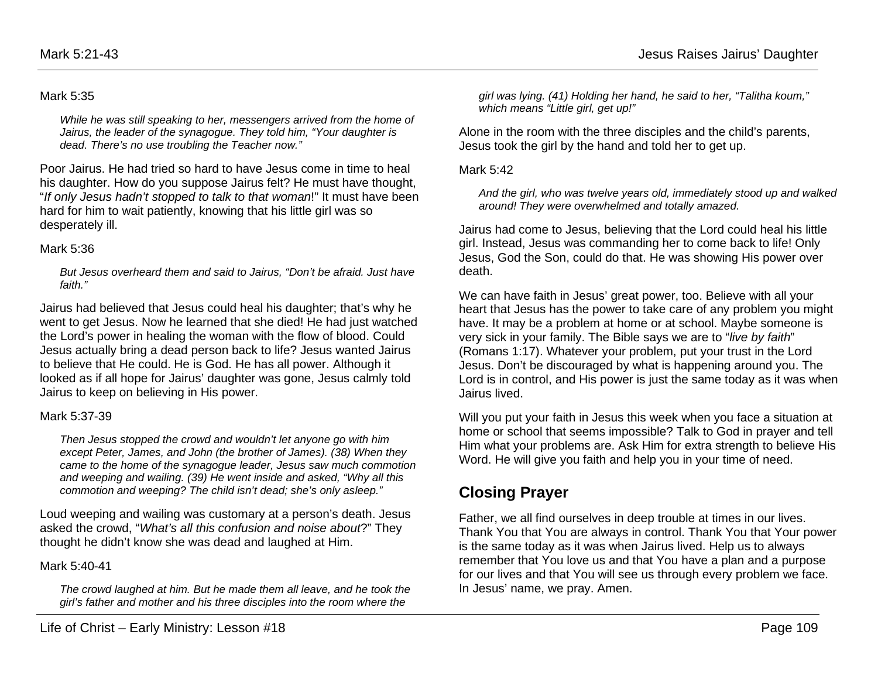#### Mark 5:35

*While he was still speaking to her, messengers arrived from the home of Jairus, the leader of the synagogue. They told him, "Your daughter is dead. There's no use troubling the Teacher now."*

Poor Jairus. He had tried so hard to have Jesus come in time to heal his daughter. How do you suppose Jairus felt? He must have thought, "*If only Jesus hadn't stopped to talk to that woman*!" It must have been hard for him to wait patiently, knowing that his little girl was so desperately ill.

#### Mark 5:36

*But Jesus overheard them and said to Jairus, "Don't be afraid. Just have faith."*

Jairus had believed that Jesus could heal his daughter; that's why he went to get Jesus. Now he learned that she died! He had just watched the Lord's power in healing the woman with the flow of blood. Could Jesus actually bring a dead person back to life? Jesus wanted Jairus to believe that He could. He is God. He has all power. Although it looked as if all hope for Jairus' daughter was gone, Jesus calmly told Jairus to keep on believing in His power.

#### Mark 5:37-39

*Then Jesus stopped the crowd and wouldn't let anyone go with him except Peter, James, and John (the brother of James). (38) When they came to the home of the synagogue leader, Jesus saw much commotion and weeping and wailing. (39) He went inside and asked, "Why all this commotion and weeping? The child isn't dead; she's only asleep."*

Loud weeping and wailing was customary at a person's death. Jesus asked the crowd, "*What's all this confusion and noise about*?" They thought he didn't know she was dead and laughed at Him.

#### Mark 5:40-41

*The crowd laughed at him. But he made them all leave, and he took the girl's father and mother and his three disciples into the room where the* 

*girl was lying. (41) Holding her hand, he said to her, "Talitha koum," which means "Little girl, get up!"*

Alone in the room with the three disciples and the child's parents, Jesus took the girl by the hand and told her to get up.

#### Mark 5:42

*And the girl, who was twelve years old, immediately stood up and walked around! They were overwhelmed and totally amazed.*

Jairus had come to Jesus, believing that the Lord could heal his little girl. Instead, Jesus was commanding her to come back to life! Only Jesus, God the Son, could do that. He was showing His power over death.

We can have faith in Jesus' great power, too. Believe with all your heart that Jesus has the power to take care of any problem you might have. It may be a problem at home or at school. Maybe someone is very sick in your family. The Bible says we are to "*live by faith*" (Romans 1:17). Whatever your problem, put your trust in the Lord Jesus. Don't be discouraged by what is happening around you. The Lord is in control, and His power is just the same today as it was when Jairus lived.

Will you put your faith in Jesus this week when you face a situation at home or school that seems impossible? Talk to God in prayer and tell Him what your problems are. Ask Him for extra strength to believe His Word. He will give you faith and help you in your time of need.

# **Closing Prayer**

Father, we all find ourselves in deep trouble at times in our lives. Thank You that You are always in control. Thank You that Your power is the same today as it was when Jairus lived. Help us to always remember that You love us and that You have a plan and a purpose for our lives and that You will see us through every problem we face. In Jesus' name, we pray. Amen.